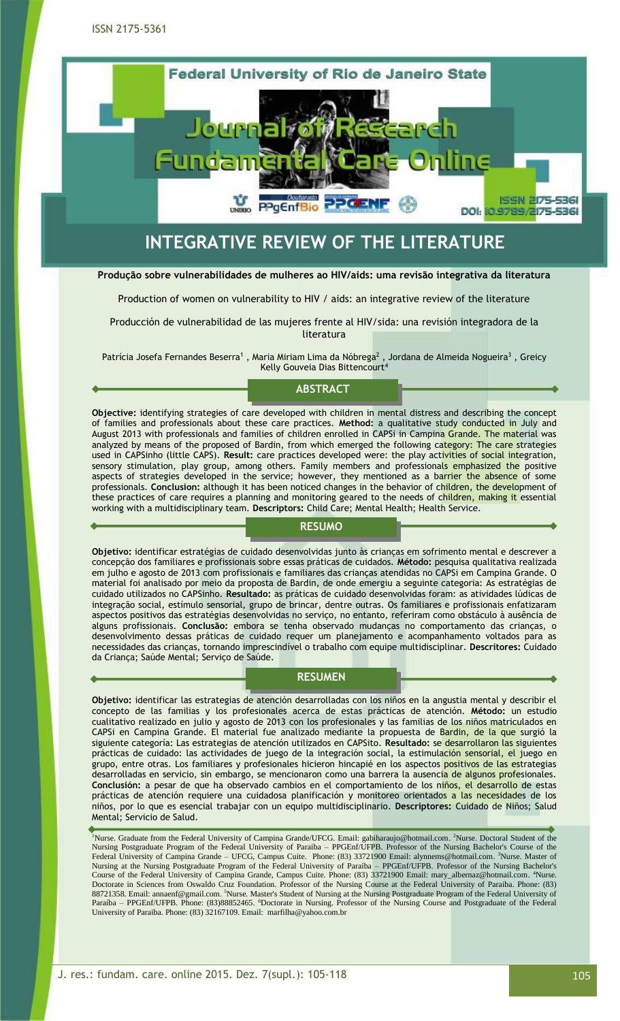ISSN 2175-5361



# **INTEGRATIVE REVIEW OF THE LITERATURE**

**Produção sobre vulnerabilidades de mulheres ao HIV/aids: uma revisão integrativa da literatura**

Production of women on vulnerability to HIV / aids: an integrative review of the literature

Producción de vulnerabilidad de las mujeres frente al HIV/sida: una revisión integradora de la literatura

Patrícia Josefa Fernandes Beserra $^1$  , Maria Miriam Lima da Nóbrega $^2$  , Jordana de Almeida Nogueira $^3$  , Greicy Kelly Gouveia Dias Bittencourt<sup>4</sup>

### **ABSTRACT**

**Objective:** identifying strategies of care developed with children in mental distress and describing the concept of families and professionals about these care practices. **Method:** a qualitative study conducted in July and August 2013 with professionals and families of children enrolled in CAPSi in Campina Grande. The material was analyzed by means of the proposed of Bardin, from which emerged the following category: The care strategies used in CAPSinho (little CAPS). **Result:** care practices developed were: the play activities of social integration, sensory stimulation, play group, among others. Family members and professionals emphasized the positive aspects of strategies developed in the service; however, they mentioned as a barrier the absence of some professionals. **Conclusion:** although it has been noticed changes in the behavior of children, the development of these practices of care requires a planning and monitoring geared to the needs of children, making it essential working with a multidisciplinary team. **Descriptors:** Child Care; Mental Health; Health Service.

#### **RESUMO**

**Objetivo:** identificar estratégias de cuidado desenvolvidas junto às crianças em sofrimento mental e descrever a concepção dos familiares e profissionais sobre essas práticas de cuidados. **Método:** pesquisa qualitativa realizada em julho e agosto de 2013 com profissionais e familiares das crianças atendidas no CAPSi em Campina Grande. O material foi analisado por meio da proposta de Bardin, de onde emergiu a seguinte categoria: As estratégias de cuidado utilizados no CAPSinho. **Resultado:** as práticas de cuidado desenvolvidas foram: as atividades lúdicas de integração social, estímulo sensorial, grupo de brincar, dentre outras. Os familiares e profissionais enfatizaram aspectos positivos das estratégias desenvolvidas no serviço, no entanto, referiram como obstáculo à ausência de alguns profissionais. **Conclusão:** embora se tenha observado mudanças no comportamento das crianças, o desenvolvimento dessas práticas de cuidado requer um planejamento e acompanhamento voltados para as necessidades das crianças, tornando imprescindível o trabalho com equipe multidisciplinar. **Descritores:** Cuidado da Criança; Saúde Mental; Serviço de Saúde.

#### **RESUMEN**

**Objetivo:** identificar las estrategias de atención desarrolladas con los niños en la angustia mental y describir el concepto de las familias y los profesionales acerca de estas prácticas de atención. **Método:** un estudio cualitativo realizado en julio y agosto de 2013 con los profesionales y las familias de los niños matriculados en CAPSi en Campina Grande. El material fue analizado mediante la propuesta de Bardin, de la que surgió la siguiente categoría: Las estrategias de atención utilizados en CAPSito. **Resultado:** se desarrollaron las siguientes prácticas de cuidado: las actividades de juego de la integración social, la estimulación sensorial, el juego en grupo, entre otras. Los familiares y profesionales hicieron hincapié en los aspectos positivos de las estrategias desarrolladas en servicio, sin embargo, se mencionaron como una barrera la ausencia de algunos profesionales. **Conclusión:** a pesar de que ha observado cambios en el comportamiento de los niños, el desarrollo de estas prácticas de atención requiere una cuidadosa planificación y monitoreo orientados a las necesidades de los niños, por lo que es esencial trabajar con un equipo multidisciplinario. **Descriptores:** Cuidado de Niños; Salud Mental; Servicio de Salud.

<sup>1</sup>Nurse. Graduate from the Federal University of Campina Grande/UFCG. Email: gabiharaujo@hotmail.com. <sup>2</sup>Nurse. Doctoral Student of the Nursing Postgraduate Program of the Federal University of Paraiba – PPGEnf/UFPB. Professor of the Nursing Bachelor's Course of the Federal University of Campina Grande - UFCG, Campus Cuite. Phone: (83) 33721900 Email: alynnems@hotmail.com. <sup>3</sup>Nurse. Master of Nursing at the Nursing Postgraduate Program of the Federal University of Paraíba – PPGEnf/UFPB. Professor of the Nursing Bachelor's Course of the Federal University of Campina Grande, Campus Cuite. Phone: (83) 33721900 Email: mary\_albernaz@hotmail.com. <sup>4</sup>Nurse. Doctorate in Sciences from Oswaldo Cruz Foundation. Professor of the Nursing Course at the Federal University of Paraiba. Phone: (83) 88721358. Email: annaenf@gmail.com. <sup>5</sup>Nurse. Master's Student of Nursing at the Nursing Postgraduate Program of the Federal University of Paraíba - PPGEnf/UFPB. Phone: (83)88852465. <sup>6</sup>Doctorate in Nursing. Professor of the Nursing Course and Postgraduate of the Federal University of Paraiba. Phone: (83) 32167109. Email: marfilha@yahoo.com.br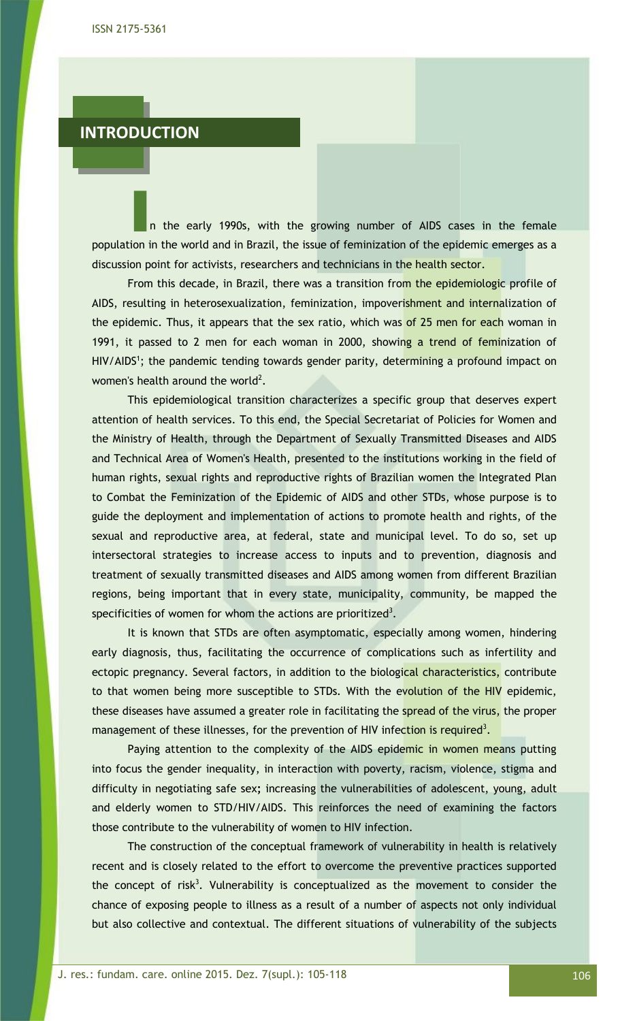### **INTRODUCTION**

n the early 1990s, with the growing number of AIDS cases in the female population in the world and in Brazil, the issue of feminization of the epidemic emerges as a discussion point for activists, researchers and technicians in the health sector.

From this decade, in Brazil, there was a transition from the epidemiologic profile of AIDS, resulting in heterosexualization, feminization, impoverishment and internalization of the epidemic. Thus, it appears that the sex ratio, which was of 25 men for each woman in 1991, it passed to 2 men for each woman in 2000, showing a trend of feminization of HIV/AIDS<sup>1</sup>; the pandemic tending towards gender parity, determining a profound impact on women's health around the world<sup>2</sup>.

This epidemiological transition characterizes a specific group that deserves expert attention of health services. To this end, the Special Secretariat of Policies for Women and the Ministry of Health, through the Department of Sexually Transmitted Diseases and AIDS and Technical Area of Women's Health, presented to the institutions working in the field of human rights, sexual rights and reproductive rights of Brazilian women the Integrated Plan to Combat the Feminization of the Epidemic of AIDS and other STDs, whose purpose is to guide the deployment and implementation of actions to promote health and rights, of the sexual and reproductive area, at federal, state and municipal level. To do so, set up intersectoral strategies to increase access to inputs and to prevention, diagnosis and treatment of sexually transmitted diseases and AIDS among women from different Brazilian regions, being important that in every state, municipality, community, be mapped the specificities of women for whom the actions are prioritized<sup>3</sup>.

It is known that STDs are often asymptomatic, especially among women, hindering early diagnosis, thus, facilitating the occurrence of complications such as infertility and ectopic pregnancy. Several factors, in addition to the biological characteristics, contribute to that women being more susceptible to STDs. With the evolution of the HIV epidemic, these diseases have assumed a greater role in facilitating the spread of the virus, the proper management of these illnesses, for the prevention of HIV infection is required<sup>3</sup>.

Paying attention to the complexity of the AIDS epidemic in women means putting into focus the gender inequality, in interaction with poverty, racism, violence, stigma and difficulty in negotiating safe sex**;** increasing the vulnerabilities of adolescent, young, adult and elderly women to STD/HIV/AIDS. This reinforces the need of examining the factors those contribute to the vulnerability of women to HIV infection.

The construction of the conceptual framework of vulnerability in health is relatively recent and is closely related to the effort to overcome the preventive practices supported the concept of risk<sup>3</sup>. Vulnerability is conceptualized as the movement to consider the chance of exposing people to illness as a result of a number of aspects not only individual but also collective and contextual. The different situations of vulnerability of the subjects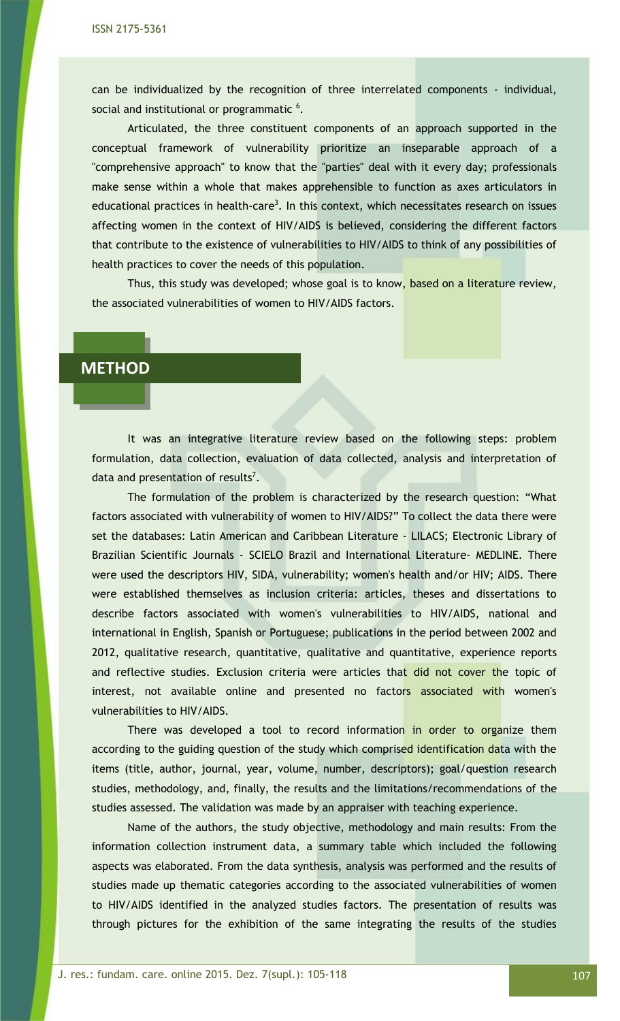can be individualized by the recognition of three interrelated components - individual, social and institutional or programmatic<sup>6</sup>.

Articulated, the three constituent components of an approach supported in the conceptual framework of vulnerability prioritize an inseparable approach of a "comprehensive approach" to know that the "parties" deal with it every day; professionals make sense within a whole that makes apprehensible to function as axes articulators in educational practices in health-care<sup>3</sup>. In this context, which necessitates research on issues affecting women in the context of HIV/AIDS is believed, considering the different factors that contribute to the existence of vulnerabilities to HIV/AIDS to think of any possibilities of health practices to cover the needs of this population.

Thus, this study was developed; whose goal is to know, based on a literature review, the associated vulnerabilities of women to HIV/AIDS factors.

# **METHOD**

It was an integrative literature review based on the following steps: problem formulation, data collection, evaluation of data collected, analysis and interpretation of data and presentation of results<sup>7</sup>.

The formulation of the problem is characterized by the research question: "What factors associated with vulnerability of women to HIV/AIDS?" To collect the data there were set the databases: Latin American and Caribbean Literature - LILACS; Electronic Library of Brazilian Scientific Journals - SCIELO Brazil and International Literature- MEDLINE. There were used the descriptors HIV, SIDA, vulnerability; women's health and/or HIV; AIDS. There were established themselves as inclusion criteria: articles, theses and dissertations to describe factors associated with women's vulnerabilities to HIV/AIDS, national and international in English, Spanish or Portuguese; publications in the period between 2002 and 2012, qualitative research, quantitative, qualitative and quantitative, experience reports and reflective studies. Exclusion criteria were articles that did not cover the topic of interest, not available online and presented no factors associated with women's vulnerabilities to HIV/AIDS.

There was developed a tool to record information in order to organize them according to the guiding question of the study which comprised identification data with the items (title, author, journal, year, volume, number, descriptors); goal/question research studies, methodology, and, finally, the results and the limitations/recommendations of the studies assessed. The validation was made by an appraiser with teaching experience.

Name of the authors, the study objective, methodology and main results: From the information collection instrument data, a summary table which included the following aspects was elaborated. From the data synthesis, analysis was performed and the results of studies made up thematic categories according to the associated vulnerabilities of women to HIV/AIDS identified in the analyzed studies factors. The presentation of results was through pictures for the exhibition of the same integrating the results of the studies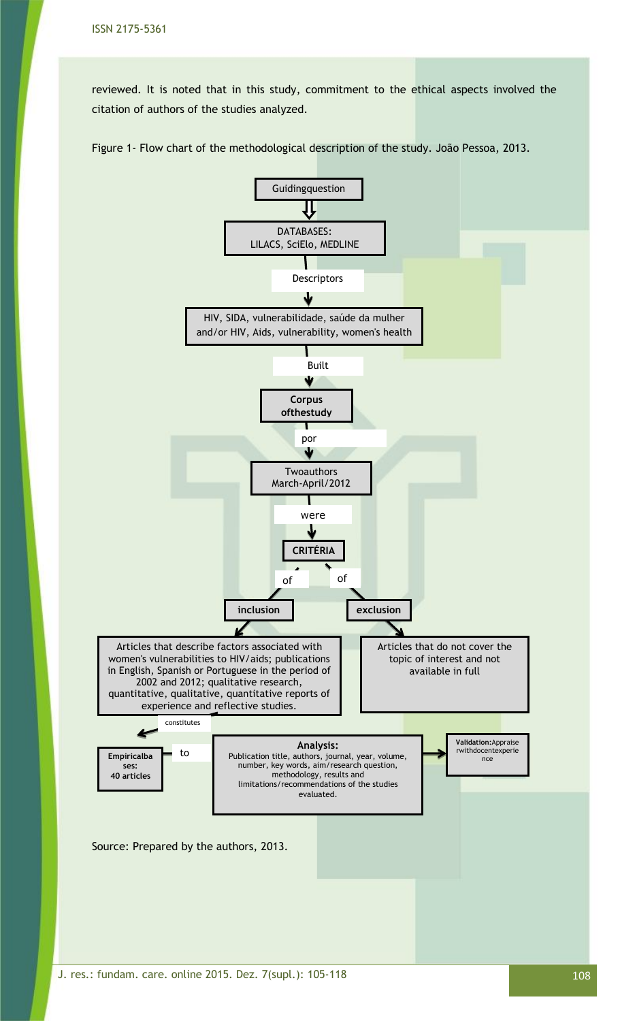reviewed. It is noted that in this study, commitment to the ethical aspects involved the citation of authors of the studies analyzed.

Figure 1- Flow chart of the methodological description of the study. João Pessoa, 2013.



J. res.: fundam. care. online 2015. Dez. 7(supl.): 105-118 108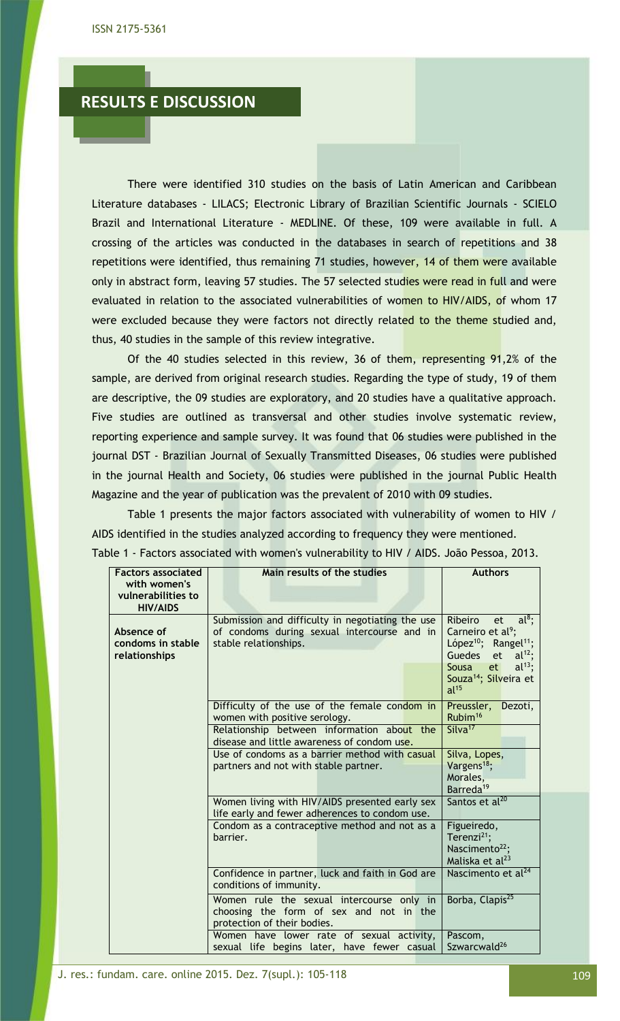## **RESULTS E DISCUSSION**

There were identified 310 studies on the basis of Latin American and Caribbean Literature databases - LILACS; Electronic Library of Brazilian Scientific Journals - SCIELO Brazil and International Literature - MEDLINE. Of these, 109 were available in full. A crossing of the articles was conducted in the databases in search of repetitions and 38 repetitions were identified, thus remaining 71 studies, however, 14 of them were available only in abstract form, leaving 57 studies. The 57 selected studies were read in full and were evaluated in relation to the associated vulnerabilities of women to HIV/AIDS, of whom 17 were excluded because they were factors not directly related to the theme studied and, thus, 40 studies in the sample of this review integrative.

Of the 40 studies selected in this review, 36 of them, representing 91,2% of the sample, are derived from original research studies. Regarding the type of study, 19 of them are descriptive, the 09 studies are exploratory, and 20 studies have a qualitative approach. Five studies are outlined as transversal and other studies involve systematic review, reporting experience and sample survey. It was found that 06 studies were published in the journal DST - Brazilian Journal of Sexually Transmitted Diseases, 06 studies were published in the journal Health and Society, 06 studies were published in the journal Public Health Magazine and the year of publication was the prevalent of 2010 with 09 studies.

Table 1 presents the major factors associated with vulnerability of women to HIV / AIDS identified in the studies analyzed according to frequency they were mentioned. Table 1 - Factors associated with women's vulnerability to HIV / AIDS. João Pessoa, 2013.

| <b>Factors associated</b><br>with women's<br>vulnerabilities to<br><b>HIV/AIDS</b> | Main results of the studies                                                                                                            | <b>Authors</b>                                                                                                                                                                                                    |
|------------------------------------------------------------------------------------|----------------------------------------------------------------------------------------------------------------------------------------|-------------------------------------------------------------------------------------------------------------------------------------------------------------------------------------------------------------------|
| Absence of<br>condoms in stable<br>relationships                                   | Submission and difficulty in negotiating the use<br>of condoms during sexual intercourse and in<br>stable relationships.               | $al^8$ ;<br>Ribeiro et<br>Carneiro et al <sup>9</sup> ;<br>López <sup>10</sup> ; Rangel <sup>11</sup> ;<br>Guedes et<br>$al12$ ;<br>$al13$ ;<br>Sousa et<br>Souza <sup>14</sup> ; Silveira et<br>al <sup>15</sup> |
|                                                                                    | Difficulty of the use of the female condom in<br>women with positive serology.<br>Relationship between information about the           | Preussler,<br>Dezoti,<br>Rubim <sup>16</sup><br>Silva <sup>17</sup>                                                                                                                                               |
|                                                                                    | disease and little awareness of condom use.<br>Use of condoms as a barrier method with casual<br>partners and not with stable partner. | Silva, Lopes,<br>Vargens <sup>18</sup> ;<br>Morales,<br>Barreda <sup>19</sup>                                                                                                                                     |
|                                                                                    | Women living with HIV/AIDS presented early sex<br>life early and fewer adherences to condom use.                                       | Santos et al <sup>20</sup>                                                                                                                                                                                        |
|                                                                                    | Condom as a contraceptive method and not as a<br>barrier.                                                                              | Figueiredo,<br>Terenzi <sup>21</sup> ;<br>Nascimento <sup>22</sup> ;<br>Maliska et al <sup>23</sup>                                                                                                               |
|                                                                                    | Confidence in partner, luck and faith in God are<br>conditions of immunity.                                                            | Nascimento et al <sup>24</sup>                                                                                                                                                                                    |
|                                                                                    | Women rule the sexual intercourse only in<br>choosing the form of sex and not in the<br>protection of their bodies.                    | Borba, Clapis <sup>25</sup>                                                                                                                                                                                       |
|                                                                                    | Women have lower rate of sexual activity,<br>sexual life begins later, have fewer casual                                               | Pascom,<br>Szwarcwald <sup>26</sup>                                                                                                                                                                               |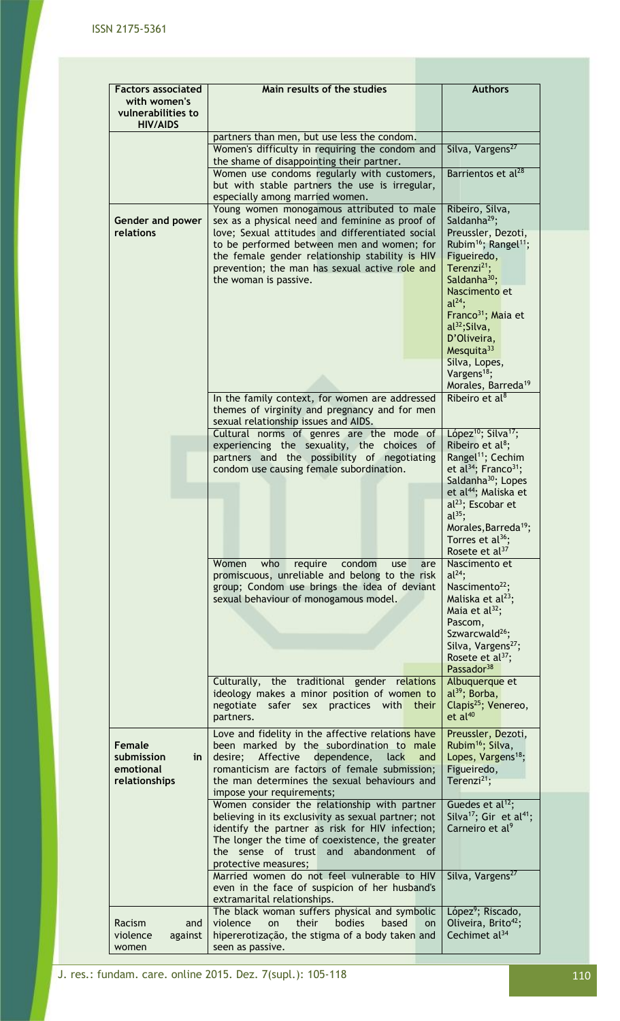| <b>Factors associated</b><br>with women's<br>vulnerabilities to<br><b>HIV/AIDS</b> | Main results of the studies                                                                                                                                                                                                                                                   |           | <b>Authors</b>                                                                                                                                                                                                                                   |
|------------------------------------------------------------------------------------|-------------------------------------------------------------------------------------------------------------------------------------------------------------------------------------------------------------------------------------------------------------------------------|-----------|--------------------------------------------------------------------------------------------------------------------------------------------------------------------------------------------------------------------------------------------------|
|                                                                                    | partners than men, but use less the condom.                                                                                                                                                                                                                                   |           |                                                                                                                                                                                                                                                  |
|                                                                                    | Women's difficulty in requiring the condom and<br>the shame of disappointing their partner.                                                                                                                                                                                   |           | Silva, Vargens <sup>27</sup>                                                                                                                                                                                                                     |
|                                                                                    | Women use condoms regularly with customers,<br>but with stable partners the use is irregular,                                                                                                                                                                                 |           | Barrientos et al <sup>28</sup>                                                                                                                                                                                                                   |
|                                                                                    | especially among married women.<br>Young women monogamous attributed to male                                                                                                                                                                                                  |           | Ribeiro, Silva,                                                                                                                                                                                                                                  |
| <b>Gender and power</b><br>relations                                               | sex as a physical need and feminine as proof of<br>love; Sexual attitudes and differentiated social                                                                                                                                                                           |           | Saldanha <sup>29</sup> ;<br>Preussler, Dezoti,                                                                                                                                                                                                   |
|                                                                                    | to be performed between men and women; for<br>the female gender relationship stability is HIV<br>prevention; the man has sexual active role and<br>the woman is passive.                                                                                                      |           | Rubim <sup>16</sup> ; Rangel <sup>11</sup> ;<br>Figueiredo,<br>Terenzi <sup>21</sup> ;<br>Saldanha <sup>30</sup> ;<br>Nascimento et                                                                                                              |
|                                                                                    |                                                                                                                                                                                                                                                                               |           | $al^{24}$ ;<br>Franco <sup>31</sup> ; Maia et<br>$al^{32}$ ; Silva,<br>D'Oliveira,<br>Mesquita $33$                                                                                                                                              |
|                                                                                    |                                                                                                                                                                                                                                                                               |           | Silva, Lopes,                                                                                                                                                                                                                                    |
|                                                                                    |                                                                                                                                                                                                                                                                               |           | Vargens <sup>18</sup> ;<br>Morales, Barreda <sup>19</sup>                                                                                                                                                                                        |
|                                                                                    | In the family context, for women are addressed<br>themes of virginity and pregnancy and for men<br>sexual relationship issues and AIDS.                                                                                                                                       |           | Ribeiro et al <sup>8</sup>                                                                                                                                                                                                                       |
|                                                                                    | Cultural norms of genres are the mode of                                                                                                                                                                                                                                      |           | López <sup>10</sup> ; Silva <sup>17</sup> ;                                                                                                                                                                                                      |
|                                                                                    | experiencing the sexuality, the choices of                                                                                                                                                                                                                                    |           | Ribeiro et al <sup>8</sup> ;                                                                                                                                                                                                                     |
|                                                                                    | partners and the possibility of negotiating<br>condom use causing female subordination.                                                                                                                                                                                       |           | Rangel <sup>11</sup> ; Cechim<br>et al <sup>34</sup> ; Franco <sup>31</sup> ;                                                                                                                                                                    |
|                                                                                    |                                                                                                                                                                                                                                                                               |           | Saldanha <sup>30</sup> ; Lopes                                                                                                                                                                                                                   |
|                                                                                    |                                                                                                                                                                                                                                                                               |           | et al <sup>44</sup> ; Maliska et<br>al <sup>23</sup> ; Escobar et                                                                                                                                                                                |
|                                                                                    |                                                                                                                                                                                                                                                                               |           | $al^{35}$ ;<br>Morales, Barreda <sup>19</sup> ;                                                                                                                                                                                                  |
|                                                                                    |                                                                                                                                                                                                                                                                               |           | Torres et al <sup>36</sup> ;<br>Rosete et al <sup>37</sup>                                                                                                                                                                                       |
|                                                                                    | require<br>condom<br>Women<br>who<br>use<br>promiscuous, unreliable and belong to the risk<br>group; Condom use brings the idea of deviant<br>sexual behaviour of monogamous model.                                                                                           | are       | Nascimento et<br>$al^{24}$ ;<br>Nascimento <sup>22</sup> ;<br>Maliska et al <sup>23</sup> ;<br>Maia et $al^{32}$ ;<br>Pascom,<br>Szwarcwald <sup>26</sup> ;<br>Silva, Vargens <sup>27</sup> ;<br>Rosete et $al^{37}$ ;<br>Passador <sup>38</sup> |
|                                                                                    | Culturally, the traditional gender relations                                                                                                                                                                                                                                  |           | Albuquerque et                                                                                                                                                                                                                                   |
|                                                                                    | ideology makes a minor position of women to<br>safer sex practices with<br>negotiate<br>partners.                                                                                                                                                                             | their     | $al^{39}$ ; Borba,<br>Clapis <sup>25</sup> ; Venereo,<br>$et$ al <sup>40</sup>                                                                                                                                                                   |
| <b>Female</b><br>submission<br>in<br>emotional<br>relationships                    | Love and fidelity in the affective relations have<br>been marked by the subordination to male<br>desire; Affective<br>dependence,<br>lack<br>romanticism are factors of female submission;<br>the man determines the sexual behaviours and<br>impose your requirements;       | and       | Preussler, Dezoti,<br>Rubim <sup>16</sup> ; Silva,<br>Lopes, Vargens <sup>18</sup> ;<br>Figueiredo,<br>Terenzi <sup>21</sup> ;                                                                                                                   |
|                                                                                    | Women consider the relationship with partner<br>believing in its exclusivity as sexual partner; not<br>identify the partner as risk for HIV infection;<br>The longer the time of coexistence, the greater<br>the sense of trust<br>and abandonment of<br>protective measures; |           | Guedes et al <sup>12</sup> ;<br>Silva <sup>17</sup> ; Gir et al <sup>41</sup> ;<br>Carneiro et al <sup>9</sup>                                                                                                                                   |
|                                                                                    | Married women do not feel vulnerable to HIV<br>even in the face of suspicion of her husband's<br>extramarital relationships.                                                                                                                                                  |           | Silva, Vargens <sup>27</sup>                                                                                                                                                                                                                     |
| Racism<br>and<br>violence<br>against<br>women                                      | The black woman suffers physical and symbolic<br>violence<br>their<br><b>bodies</b><br>based<br>on<br>hipererotização, the stigma of a body taken and<br>seen as passive.                                                                                                     | <b>on</b> | López <sup>9</sup> ; Riscado,<br>Oliveira, Brito <sup>42</sup> ;<br>Cechimet $al^{34}$                                                                                                                                                           |
|                                                                                    |                                                                                                                                                                                                                                                                               |           |                                                                                                                                                                                                                                                  |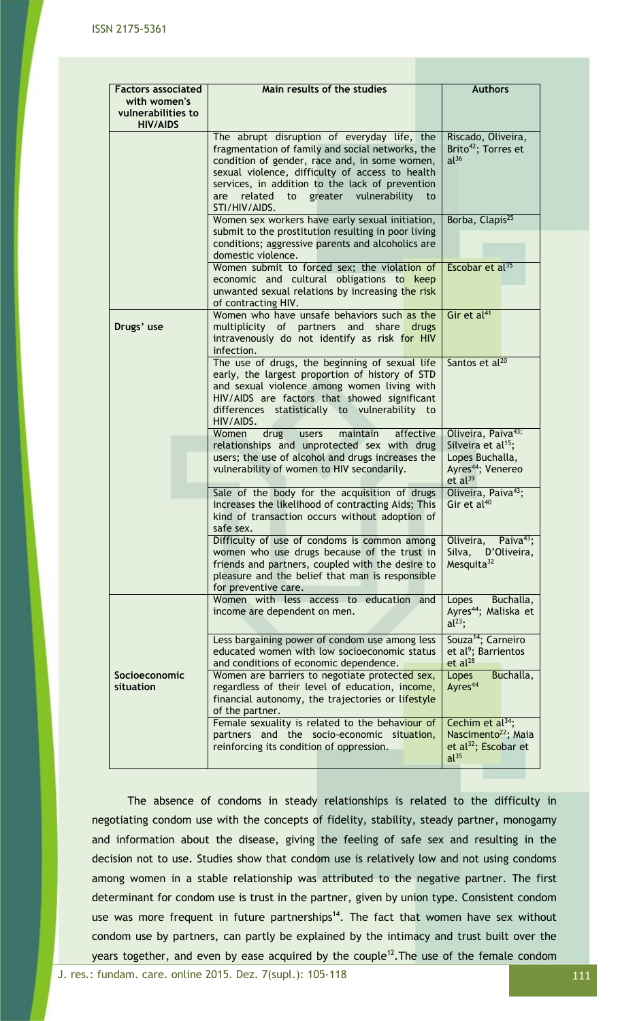|                                           | Main results of the studies                                                                            |       |                                                                   |
|-------------------------------------------|--------------------------------------------------------------------------------------------------------|-------|-------------------------------------------------------------------|
| <b>Factors associated</b><br>with women's |                                                                                                        |       | <b>Authors</b>                                                    |
| vulnerabilities to                        |                                                                                                        |       |                                                                   |
| <b>HIV/AIDS</b>                           | The abrupt disruption of everyday life, the                                                            |       | Riscado, Oliveira,                                                |
|                                           | fragmentation of family and social networks, the                                                       |       | Brito <sup>42</sup> ; Torres et                                   |
|                                           | condition of gender, race and, in some women,                                                          |       | al <sup>36</sup>                                                  |
|                                           | sexual violence, difficulty of access to health                                                        |       |                                                                   |
|                                           | services, in addition to the lack of prevention<br>to greater vulnerability                            | to    |                                                                   |
|                                           | related<br>are<br>STI/HIV/AIDS.                                                                        |       |                                                                   |
|                                           | Women sex workers have early sexual initiation,<br>submit to the prostitution resulting in poor living |       | Borba, Clapis <sup>25</sup>                                       |
|                                           | conditions; aggressive parents and alcoholics are                                                      |       |                                                                   |
|                                           | domestic violence.                                                                                     |       |                                                                   |
|                                           | Women submit to forced sex; the violation of                                                           |       | Escobar et $al^{35}$                                              |
|                                           | economic and cultural obligations to keep                                                              |       |                                                                   |
|                                           | unwanted sexual relations by increasing the risk<br>of contracting HIV.                                |       |                                                                   |
|                                           | Women who have unsafe behaviors such as the                                                            |       | Gir et al <sup>41</sup>                                           |
| Drugs' use                                | multiplicity of partners and<br>share<br>intravenously do not identify as risk for HIV                 | drugs |                                                                   |
|                                           | infection.                                                                                             |       |                                                                   |
|                                           | The use of drugs, the beginning of sexual life                                                         |       | Santos et al <sup>20</sup>                                        |
|                                           | early, the largest proportion of history of STD                                                        |       |                                                                   |
|                                           | and sexual violence among women living with<br>HIV/AIDS are factors that showed significant            |       |                                                                   |
|                                           | differences statistically to vulnerability to                                                          |       |                                                                   |
|                                           | HIV/AIDS.                                                                                              |       |                                                                   |
|                                           | Women<br>drug<br>maintain<br>affective<br>users                                                        |       | Oliveira, Paiva <sup>43;</sup>                                    |
|                                           | relationships and unprotected sex with drug<br>users; the use of alcohol and drugs increases the       |       | Silveira et al <sup>15</sup> ;<br>Lopes Buchalla,                 |
|                                           | vulnerability of women to HIV secondarily.                                                             |       | Ayres <sup>44</sup> ; Venereo                                     |
|                                           |                                                                                                        |       | $et al^{39}$                                                      |
|                                           | Sale of the body for the acquisition of drugs                                                          |       | Oliveira, Paiva <sup>43</sup> ;                                   |
|                                           | increases the likelihood of contracting Aids; This<br>kind of transaction occurs without adoption of   |       | Gir et $al^{40}$                                                  |
|                                           | safe sex.                                                                                              |       |                                                                   |
|                                           | Difficulty of use of condoms is common among                                                           |       | Paiva <sup>43</sup> ;<br>Oliveira,                                |
|                                           | women who use drugs because of the trust in                                                            |       | Silva, D'Oliveira,                                                |
|                                           | friends and partners, coupled with the desire to<br>pleasure and the belief that man is responsible    |       | Mesquita <sup>32</sup>                                            |
|                                           | for preventive care.                                                                                   |       |                                                                   |
|                                           | Women with less access to education and                                                                |       | Buchalla,<br>Lopes                                                |
|                                           | income are dependent on men.                                                                           |       | Ayres <sup>44</sup> ; Maliska et<br>$al^{23}$ ;                   |
|                                           |                                                                                                        |       |                                                                   |
|                                           | Less bargaining power of condom use among less<br>educated women with low socioeconomic status         |       | Souza <sup>14</sup> ; Carneiro<br>et al <sup>9</sup> ; Barrientos |
|                                           | and conditions of economic dependence.                                                                 |       | et $al^{28}$                                                      |
| Socioeconomic                             | Women are barriers to negotiate protected sex,                                                         |       | Lopes<br>Buchalla,                                                |
| situation                                 | regardless of their level of education, income,                                                        |       | Ayres <sup>44</sup>                                               |
|                                           | financial autonomy, the trajectories or lifestyle<br>of the partner.                                   |       |                                                                   |
|                                           | Female sexuality is related to the behaviour of                                                        |       | Cechim et $al^{34}$ ;                                             |
|                                           | partners and the socio-economic situation,                                                             |       | Nascimento <sup>22</sup> ; Maia                                   |
|                                           | reinforcing its condition of oppression.                                                               |       | et al <sup>32</sup> ; Escobar et                                  |
|                                           |                                                                                                        |       | al <sup>35</sup>                                                  |

The absence of condoms in steady relationships is related to the difficulty in negotiating condom use with the concepts of fidelity, stability, steady partner, monogamy and information about the disease, giving the feeling of safe sex and resulting in the decision not to use. Studies show that condom use is relatively low and not using condoms among women in a stable relationship was attributed to the negative partner. The first determinant for condom use is trust in the partner, given by union type. Consistent condom use was more frequent in future partnerships<sup>14</sup>. The fact that women have sex without condom use by partners, can partly be explained by the intimacy and trust built over the years together, and even by ease acquired by the couple<sup>12</sup>. The use of the female condom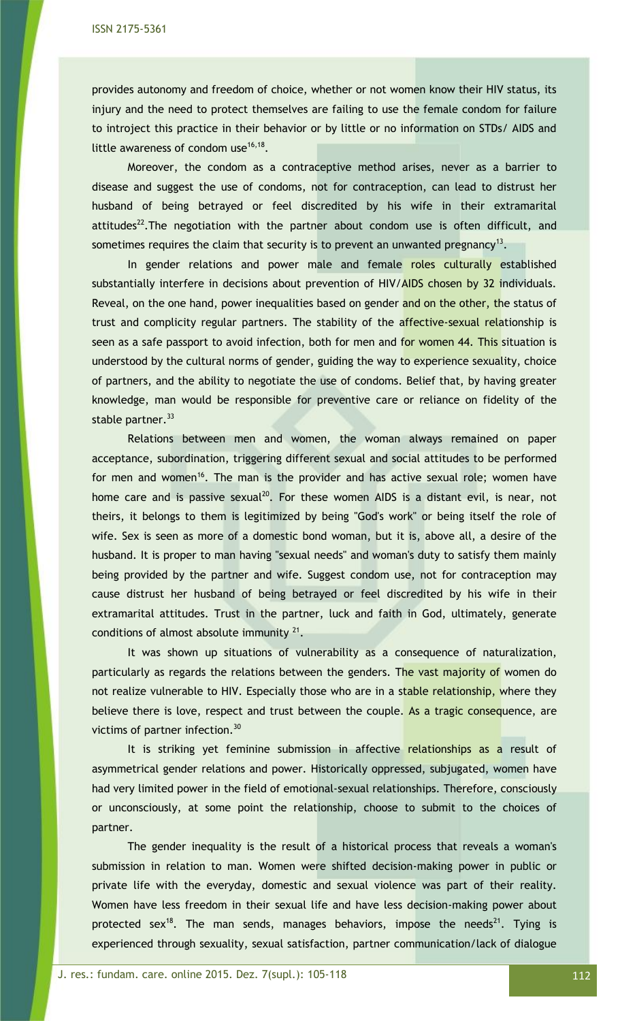provides autonomy and freedom of choice, whether or not women know their HIV status, its injury and the need to protect themselves are failing to use the female condom for failure to introject this practice in their behavior or by little or no information on STDs/ AIDS and little awareness of condom use $^{16,18}$ .

Moreover, the condom as a contraceptive method arises, never as a barrier to disease and suggest the use of condoms, not for contraception, can lead to distrust her husband of being betrayed or feel discredited by his wife in their extramarital attitudes<sup>22</sup>. The negotiation with the partner about condom use is often difficult, and sometimes requires the claim that security is to prevent an unwanted pregnancy<sup>13</sup>.

In gender relations and power male and female roles culturally established substantially interfere in decisions about prevention of HIV/AIDS chosen by 32 individuals. Reveal, on the one hand, power inequalities based on gender and on the other, the status of trust and complicity regular partners. The stability of the affective-sexual relationship is seen as a safe passport to avoid infection, both for men and for women 44. This situation is understood by the cultural norms of gender, guiding the way to experience sexuality, choice of partners, and the ability to negotiate the use of condoms. Belief that, by having greater knowledge, man would be responsible for preventive care or reliance on fidelity of the stable partner.<sup>33</sup>

Relations between men and women, the woman always remained on paper acceptance, subordination, triggering different sexual and social attitudes to be performed for men and women<sup>16</sup>. The man is the provider and has active sexual role; women have home care and is passive sexual<sup>20</sup>. For these women AIDS is a distant evil, is near, not theirs, it belongs to them is legitimized by being "God's work" or being itself the role of wife. Sex is seen as more of a domestic bond woman, but it is, above all, a desire of the husband. It is proper to man having "sexual needs" and woman's duty to satisfy them mainly being provided by the partner and wife. Suggest condom use, not for contraception may cause distrust her husband of being betrayed or feel discredited by his wife in their extramarital attitudes. Trust in the partner, luck and faith in God, ultimately, generate conditions of almost absolute immunity  $21$ .

It was shown up situations of vulnerability as a consequence of naturalization, particularly as regards the relations between the genders. The vast majority of women do not realize vulnerable to HIV. Especially those who are in a stable relationship, where they believe there is love, respect and trust between the couple. As a tragic consequence, are victims of partner infection.<sup>30</sup>

It is striking yet feminine submission in affective relationships as a result of asymmetrical gender relations and power. Historically oppressed, subjugated, women have had very limited power in the field of emotional-sexual relationships. Therefore, consciously or unconsciously, at some point the relationship, choose to submit to the choices of partner.

The gender inequality is the result of a historical process that reveals a woman's submission in relation to man. Women were shifted decision-making power in public or private life with the everyday, domestic and sexual violence was part of their reality. Women have less freedom in their sexual life and have less decision-making power about protected sex<sup>18</sup>. The man sends, manages behaviors, impose the needs<sup>21</sup>. Tying is experienced through sexuality, sexual satisfaction, partner communication/lack of dialogue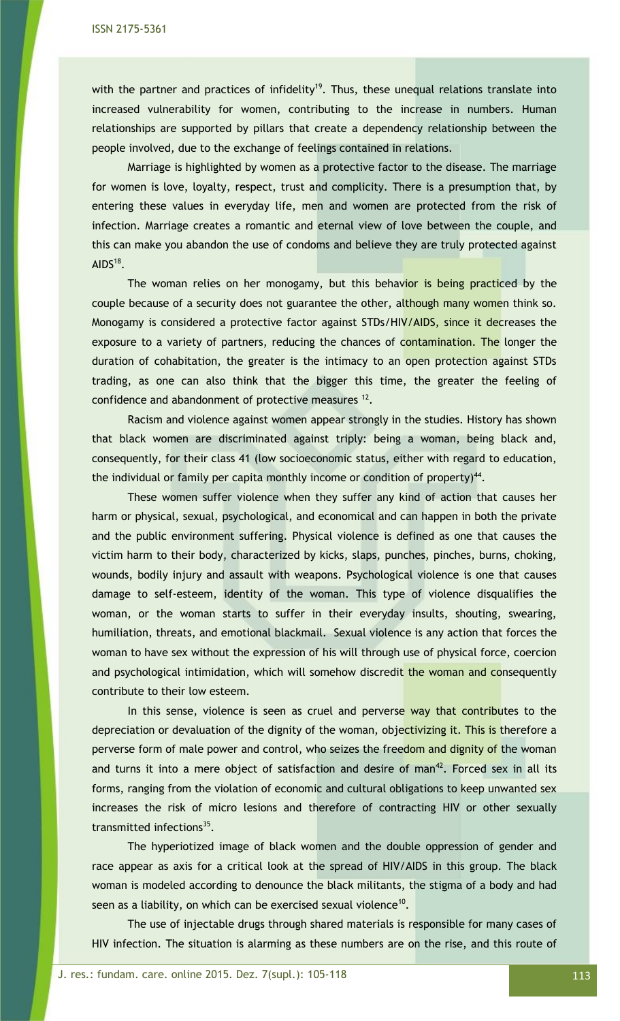with the partner and practices of infidelity<sup>19</sup>. Thus, these unequal relations translate into increased vulnerability for women, contributing to the increase in numbers. Human relationships are supported by pillars that create a dependency relationship between the people involved, due to the exchange of feelings contained in relations.

Marriage is highlighted by women as a protective factor to the disease. The marriage for women is love, loyalty, respect, trust and complicity. There is a presumption that, by entering these values in everyday life, men and women are protected from the risk of infection. Marriage creates a romantic and eternal view of love between the couple, and this can make you abandon the use of condoms and believe they are truly protected against  $AIDS^{18}$ .

The woman relies on her monogamy, but this behavior is being practiced by the couple because of a security does not guarantee the other, although many women think so. Monogamy is considered a protective factor against STDs/HIV/AIDS, since it decreases the exposure to a variety of partners, reducing the chances of contamination. The longer the duration of cohabitation, the greater is the intimacy to an open protection against STDs trading, as one can also think that the bigger this time, the greater the feeling of confidence and abandonment of protective measures  $12$ .

Racism and violence against women appear strongly in the studies. History has shown that black women are discriminated against triply: being a woman, being black and, consequently, for their class 41 (low socioeconomic status, either with regard to education, the individual or family per capita monthly income or condition of property) $44$ .

These women suffer violence when they suffer any kind of action that causes her harm or physical, sexual, psychological, and economical and can happen in both the private and the public environment suffering. Physical violence is defined as one that causes the victim harm to their body, characterized by kicks, slaps, punches, pinches, burns, choking, wounds, bodily injury and assault with weapons. Psychological violence is one that causes damage to self-esteem, identity of the woman. This type of violence disqualifies the woman, or the woman starts to suffer in their everyday insults, shouting, swearing, humiliation, threats, and emotional blackmail. Sexual violence is any action that forces the woman to have sex without the expression of his will through use of physical force, coercion and psychological intimidation, which will somehow discredit the woman and consequently contribute to their low esteem.

In this sense, violence is seen as cruel and perverse way that contributes to the depreciation or devaluation of the dignity of the woman, objectivizing it. This is therefore a perverse form of male power and control, who seizes the freedom and dignity of the woman and turns it into a mere object of satisfaction and desire of man<sup>42</sup>. Forced sex in all its forms, ranging from the violation of economic and cultural obligations to keep unwanted sex increases the risk of micro lesions and therefore of contracting HIV or other sexually transmitted infections<sup>35</sup>.

The hyperiotized image of black women and the double oppression of gender and race appear as axis for a critical look at the spread of HIV/AIDS in this group. The black woman is modeled according to denounce the black militants, the stigma of a body and had seen as a liability, on which can be exercised sexual violence $^{10}$ .

The use of injectable drugs through shared materials is responsible for many cases of HIV infection. The situation is alarming as these numbers are on the rise, and this route of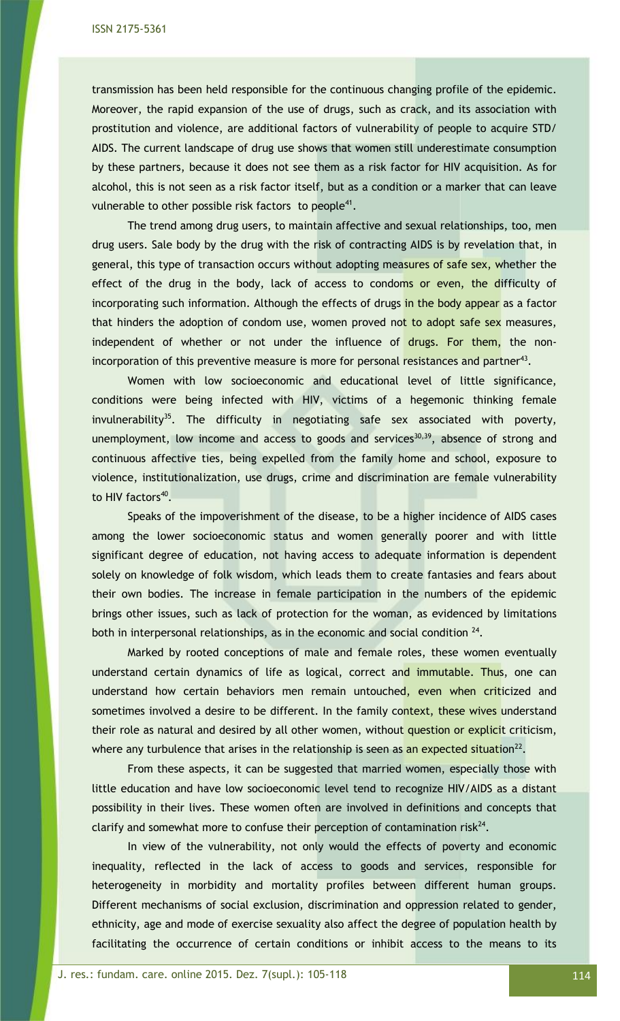transmission has been held responsible for the continuous changing profile of the epidemic. Moreover, the rapid expansion of the use of drugs, such as crack, and its association with prostitution and violence, are additional factors of vulnerability of people to acquire STD/ AIDS. The current landscape of drug use shows that women still underestimate consumption by these partners, because it does not see them as a risk factor for HIV acquisition. As for alcohol, this is not seen as a risk factor itself, but as a condition or a marker that can leave vulnerable to other possible risk factors to people<sup>41</sup>.

The trend among drug users, to maintain affective and sexual relationships, too, men drug users. Sale body by the drug with the risk of contracting AIDS is by revelation that, in general, this type of transaction occurs without adopting measures of safe sex, whether the effect of the drug in the body, lack of access to condoms or even, the difficulty of incorporating such information. Although the effects of drugs in the body appear as a factor that hinders the adoption of condom use, women proved not to adopt safe sex measures, independent of whether or not under the influence of drugs. For them, the nonincorporation of this preventive measure is more for personal resistances and partner<sup>43</sup>.

Women with low socioeconomic and educational level of little significance, conditions were being infected with HIV, victims of a hegemonic thinking female invulnerability<sup>35</sup>. The difficulty in negotiating safe sex associated with poverty, unemployment, low income and access to goods and services<sup>30,39</sup>, absence of strong and continuous affective ties, being expelled from the family home and school, exposure to violence, institutionalization, use drugs, crime and discrimination are female vulnerability to HIV factors<sup>40</sup>.

Speaks of the impoverishment of the disease, to be a higher incidence of AIDS cases among the lower socioeconomic status and women generally poorer and with little significant degree of education, not having access to adequate information is dependent solely on knowledge of folk wisdom, which leads them to create fantasies and fears about their own bodies. The increase in female participation in the numbers of the epidemic brings other issues, such as lack of protection for the woman, as evidenced by limitations both in interpersonal relationships, as in the economic and social condition  $24$ .

Marked by rooted conceptions of male and female roles, these women eventually understand certain dynamics of life as logical, correct and immutable. Thus, one can understand how certain behaviors men remain untouched, even when criticized and sometimes involved a desire to be different. In the family context, these wives understand their role as natural and desired by all other women, without question or explicit criticism, where any turbulence that arises in the relationship is seen as an expected situation<sup>22</sup>.

From these aspects, it can be suggested that married women, especially those with little education and have low socioeconomic level tend to recognize HIV/AIDS as a distant possibility in their lives. These women often are involved in definitions and concepts that clarify and somewhat more to confuse their perception of contamination risk $^{24}$ .

In view of the vulnerability, not only would the effects of poverty and economic inequality, reflected in the lack of access to goods and services, responsible for heterogeneity in morbidity and mortality profiles between different human groups. Different mechanisms of social exclusion, discrimination and oppression related to gender, ethnicity, age and mode of exercise sexuality also affect the degree of population health by facilitating the occurrence of certain conditions or inhibit access to the means to its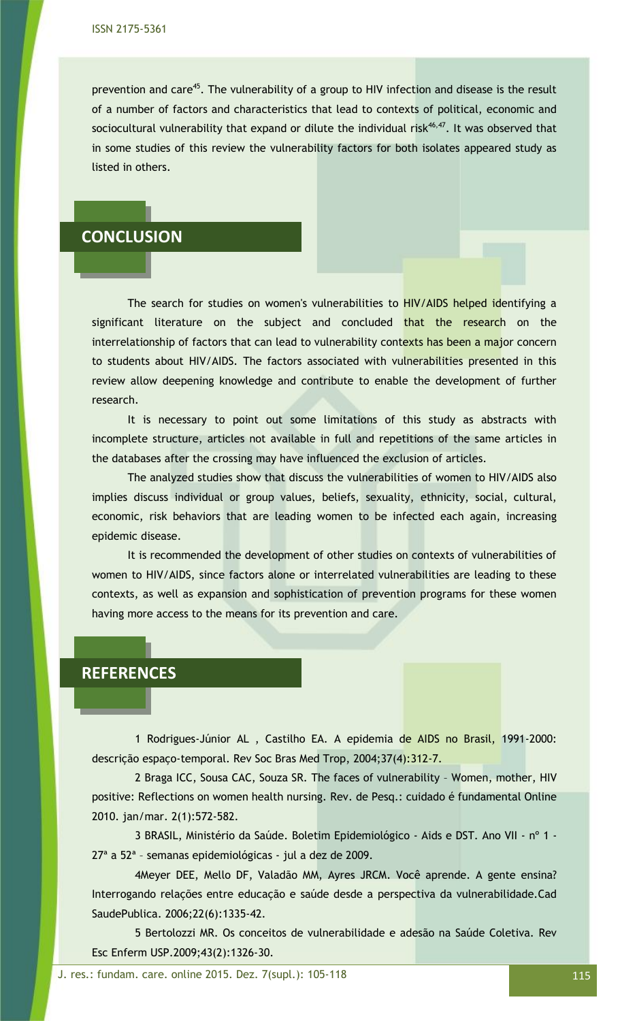prevention and care<sup>45</sup>. The vulnerability of a group to HIV infection and disease is the result of a number of factors and characteristics that lead to contexts of political, economic and sociocultural vulnerability that expand or dilute the individual risk $46,47$ . It was observed that in some studies of this review the vulnerability factors for both isolates appeared study as listed in others.

# **CONCLUSION**

The search for studies on women's vulnerabilities to **HIV/AIDS** helped identifying a significant literature on the subject and concluded that the research on the interrelationship of factors that can lead to vulnerability contexts has been a major concern to students about HIV/AIDS. The factors associated with vulnerabilities presented in this review allow deepening knowledge and contribute to enable the development of further research.

It is necessary to point out some limitations of this study as abstracts with incomplete structure, articles not available in full and repetitions of the same articles in the databases after the crossing may have influenced the exclusion of articles.

The analyzed studies show that discuss the vulnerabilities of women to HIV/AIDS also implies discuss individual or group values, beliefs, sexuality, ethnicity, social, cultural, economic, risk behaviors that are leading women to be infected each again, increasing epidemic disease.

It is recommended the development of other studies on contexts of vulnerabilities of women to HIV/AIDS, since factors alone or interrelated vulnerabilities are leading to these contexts, as well as expansion and sophistication of prevention programs for these women having more access to the means for its prevention and care.

# **REFERENCES**

1 Rodrigues-Júnior AL , Castilho EA. A epidemia de AIDS no Brasil, 1991-2000: descrição espaço-temporal. Rev Soc Bras Med Trop, 2004;37(4):312-7.

2 Braga ICC, Sousa CAC, Souza SR. The faces of vulnerability – Women, mother, HIV positive: Reflections on women health nursing. Rev. de Pesq.: cuidado é fundamental Online 2010. jan/mar. 2(1):572-582.

3 BRASIL, Ministério da Saúde. Boletim Epidemiológico - Aids e DST. Ano VII - nº 1 - 27ª a 52ª – semanas epidemiológicas - jul a dez de 2009.

4Meyer DEE, Mello DF, Valadão MM, Ayres JRCM. Você aprende. A gente ensina? Interrogando relações entre educação e saúde desde a perspectiva da vulnerabilidade.Cad SaudePublica. 2006;22(6):1335-42.

5 Bertolozzi MR. Os conceitos de vulnerabilidade e adesão na Saúde Coletiva. Rev Esc Enferm USP.2009;43(2):1326-30.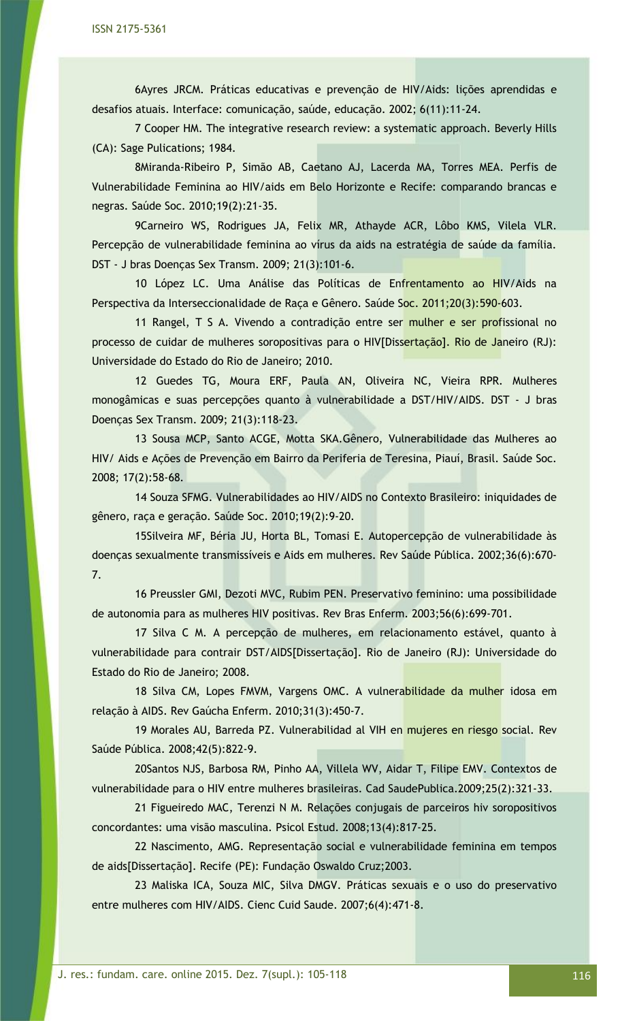6Ayres JRCM. Práticas educativas e prevenção de HIV/Aids: lições aprendidas e desafios atuais. Interface: comunicação, saúde, educação. 2002; 6(11):11-24.

7 Cooper HM. The integrative research review: a systematic approach. Beverly Hills (CA): Sage Pulications; 1984.

8Miranda-Ribeiro P, Simão AB, Caetano AJ, Lacerda MA, Torres MEA. Perfis de Vulnerabilidade Feminina ao HIV/aids em Belo Horizonte e Recife: comparando brancas e negras. Saúde Soc. 2010;19(2):21-35.

9Carneiro WS, Rodrigues JA, Felix MR, Athayde ACR, Lôbo KMS, Vilela VLR. Percepção de vulnerabilidade feminina ao vírus da aids na estratégia de saúde da família. DST - J bras Doenças Sex Transm. 2009; 21(3):101-6.

10 López LC. Uma Análise das Políticas de Enfrentamento ao HIV/Aids na Perspectiva da Interseccionalidade de Raça e Gênero. Saúde Soc. 2011;20(3):590-603.

11 Rangel, T S A. Vivendo a contradição entre ser mulher e ser profissional no processo de cuidar de mulheres soropositivas para o HIV[Dissertação]. Rio de Janeiro (RJ): Universidade do Estado do Rio de Janeiro; 2010.

12 Guedes TG, Moura ERF, Paula AN, Oliveira NC, Vieira RPR. Mulheres monogâmicas e suas percepções quanto à vulnerabilidade a DST/HIV/AIDS. DST - J bras Doenças Sex Transm. 2009; 21(3):118-23.

13 Sousa MCP, Santo ACGE, Motta SKA.Gênero, Vulnerabilidade das Mulheres ao HIV/ Aids e Ações de Prevenção em Bairro da Periferia de Teresina, Piauí, Brasil. Saúde Soc. 2008; 17(2):58-68.

14 Souza SFMG. Vulnerabilidades ao HIV/AIDS no Contexto Brasileiro: iniquidades de gênero, raça e geração. Saúde Soc. 2010;19(2):9-20.

15Silveira MF, Béria JU, Horta BL, Tomasi E. Autopercepção de vulnerabilidade às doenças sexualmente transmissíveis e Aids em mulheres. Rev Saúde Pública. 2002;36(6):670- 7.

16 Preussler GMI, Dezoti MVC, Rubim PEN. Preservativo feminino: uma possibilidade de autonomia para as mulheres HIV positivas. Rev Bras Enferm. 2003;56(6):699-701.

17 Silva C M. A percepção de mulheres, em relacionamento estável, quanto à vulnerabilidade para contrair DST/AIDS[Dissertação]. Rio de Janeiro (RJ): Universidade do Estado do Rio de Janeiro; 2008.

18 Silva CM, Lopes FMVM, Vargens OMC. A vulnerabilidade da mulher idosa em relação à AIDS. Rev Gaúcha Enferm. 2010;31(3):450-7.

19 Morales AU, Barreda PZ. Vulnerabilidad al VIH en mujeres en riesgo social. Rev Saúde Pública. 2008;42(5):822-9.

20Santos NJS, Barbosa RM, Pinho AA, Villela WV, Aidar T, Filipe EMV. Contextos de vulnerabilidade para o HIV entre mulheres brasileiras. Cad SaudePublica.2009;25(2):321-33.

21 Figueiredo MAC, Terenzi N M. Relações conjugais de parceiros hiv soropositivos concordantes: uma visão masculina. Psicol Estud. 2008;13(4):817-25.

22 Nascimento, AMG. Representação social e vulnerabilidade feminina em tempos de aids[Dissertação]. Recife (PE): Fundação Oswaldo Cruz;2003.

23 Maliska ICA, Souza MIC, Silva DMGV. Práticas sexuais e o uso do preservativo entre mulheres com HIV/AIDS. Cienc Cuid Saude. 2007;6(4):471-8.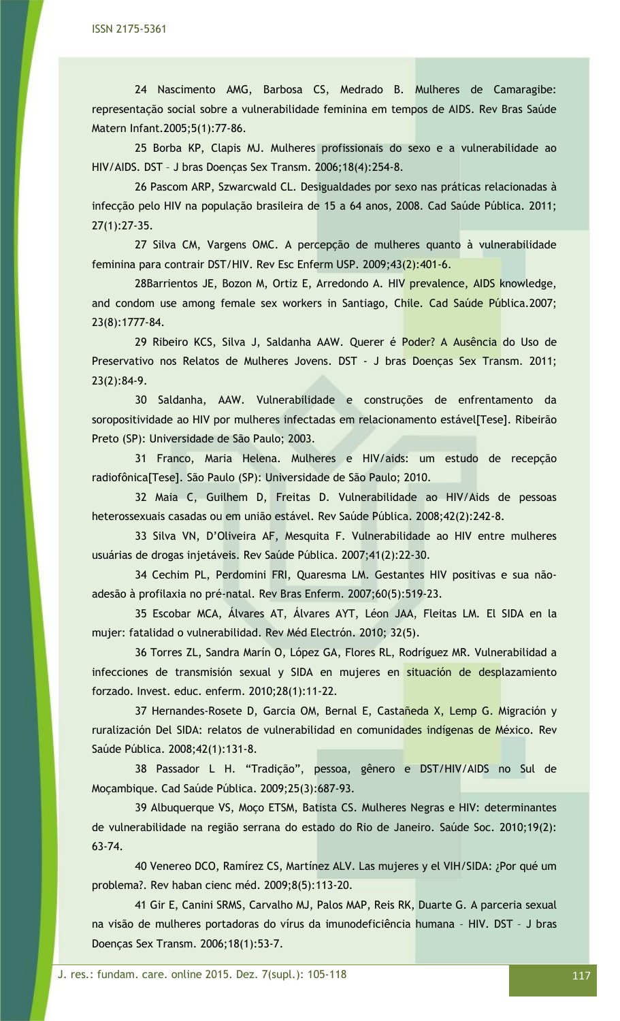24 Nascimento AMG, Barbosa CS, Medrado B. Mulheres de Camaragibe: representação social sobre a vulnerabilidade feminina em tempos de AIDS. Rev Bras Saúde Matern Infant.2005;5(1):77-86.

25 Borba KP, Clapis MJ. Mulheres profissionais do sexo e a vulnerabilidade ao HIV/AIDS. DST – J bras Doenças Sex Transm. 2006;18(4):254-8.

26 Pascom ARP, Szwarcwald CL. Desigualdades por sexo nas práticas relacionadas à infecção pelo HIV na população brasileira de 15 a 64 anos, 2008. Cad Saúde Pública. 2011; 27(1):27-35.

27 Silva CM, Vargens OMC. A percepção de mulheres quanto à vulnerabilidade feminina para contrair DST/HIV. [Rev Esc Enferm USP.](http://portal.revistas.bvs.br/transf.php?xsl=xsl/titles.xsl&xml=http://catserver.bireme.br/cgi-bin/wxis1660.exe/?IsisScript=../cgi-bin/catrevistas/catrevistas.xis%7Cdatabase_name=TITLES%7Clist_type=title%7Ccat_name=ALL%7Cfrom=1%7Ccount=50&lang=pt&comefrom=home&home=false&task=show_magazines&request_made_adv_search=false&lang=pt&show_adv_search=false&help_file=/help_pt.htm&connector=ET&search_exp=Rev.%20Esc.%20Enferm.%20USP) 2009;43(2):401-6.

28Barrientos JE, Bozon M, Ortiz E, Arredondo A. HIV prevalence, AIDS knowledge, and condom use among female sex workers in Santiago, Chile. Cad Saúde Pública.2007; 23(8):1777-84.

29 Ribeiro KCS, Silva J, Saldanha AAW. Querer é Poder? A Ausência do Uso de Preservativo nos Relatos de Mulheres Jovens. DST - J bras Doenças Sex Transm. 2011; 23(2):84-9.

30 Saldanha, AAW. Vulnerabilidade e construções de enfrentamento da soropositividade ao HIV por mulheres infectadas em relacionamento estável[Tese]. Ribeirão Preto (SP): Universidade de São Paulo; 2003.

31 Franco, Maria Helena. Mulheres e HIV/aids: um estudo de recepção radiofônica[Tese]. São Paulo (SP): Universidade de São Paulo; 2010.

32 Maia C, Guilhem D, Freitas D. Vulnerabilidade ao HIV/Aids de pessoas heterossexuais casadas ou em união estável. Rev Saúde Pública. 2008;42(2):242-8.

33 Silva VN, D'Oliveira AF, Mesquita F. Vulnerabilidade ao HIV entre mulheres usuárias de drogas injetáveis. Rev Saúde Pública. 2007;41(2):22-30.

34 Cechim PL, Perdomini FRI, Quaresma LM. Gestantes HIV positivas e sua nãoadesão à profilaxia no pré-natal. Rev Bras Enferm. 2007;60(5):519-23.

35 Escobar MCA, Álvares AT, Álvares AYT, Léon JAA, Fleitas LM. El SIDA en la mujer: fatalidad o vulnerabilidad. Rev Méd Electrón. 2010; 32(5).

36 Torres ZL, Sandra Marín O, López GA, Flores RL, Rodríguez MR. Vulnerabilidad a infecciones de transmisión sexual y SIDA en mujeres en situación de desplazamiento forzado. Invest. educ. enferm. 2010;28(1):11-22.

37 Hernandes-Rosete D, Garcia OM, Bernal E, Castañeda X, Lemp G. Migración y ruralización Del SIDA: relatos de vulnerabilidad en comunidades indígenas de México. Rev Saúde Pública. 2008;42(1):131-8.

38 Passador L H. "Tradição", pessoa, gênero e DST/HIV/AIDS no Sul de Moçambique. Cad Saúde Pública. 2009;25(3):687-93.

39 Albuquerque VS, Moço ETSM, Batista CS. Mulheres Negras e HIV: determinantes de vulnerabilidade na região serrana do estado do Rio de Janeiro. Saúde Soc. 2010;19(2): 63-74.

40 Venereo DCO, Ramírez CS, Martínez ALV. Las mujeres y el VIH/SIDA: ¿Por qué um problema?. Rev haban cienc méd. 2009;8(5):113-20.

41 Gir E, Canini SRMS, Carvalho MJ, Palos MAP, Reis RK, Duarte G. A parceria sexual na visão de mulheres portadoras do vírus da imunodeficiência humana – HIV. DST – J bras Doenças Sex Transm. 2006;18(1):53-7.